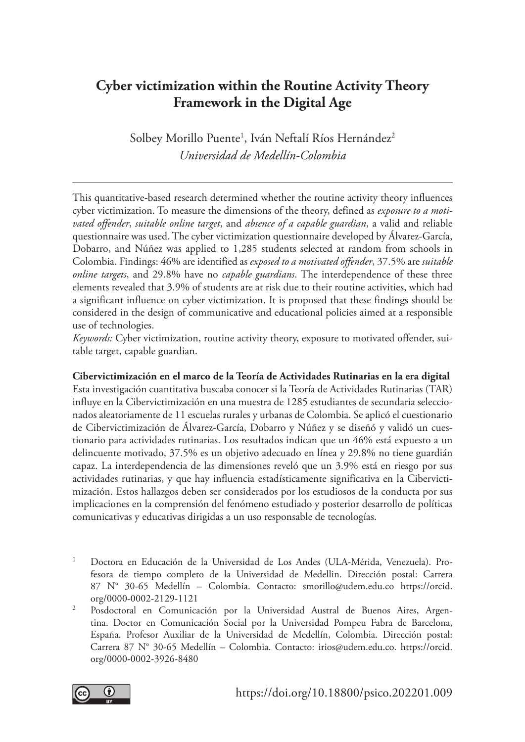# **Cyber victimization within the Routine Activity Theory Framework in the Digital Age**

Solbey Morillo Puente<sup>1</sup>, Iván Neftalí Ríos Hernández<sup>2</sup> *Universidad de Medellín-Colombia*

This quantitative-based research determined whether the routine activity theory influences cyber victimization. To measure the dimensions of the theory, defined as *exposure to a motivated offender*, *suitable online target*, and *absence of a capable guardian*, a valid and reliable questionnaire was used. The cyber victimization questionnaire developed by Álvarez-García, Dobarro, and Núñez was applied to 1,285 students selected at random from schools in Colombia. Findings: 46% are identified as *exposed to a motivated offender*, 37.5% are *suitable online targets*, and 29.8% have no *capable guardians*. The interdependence of these three elements revealed that 3.9% of students are at risk due to their routine activities, which had a significant influence on cyber victimization. It is proposed that these findings should be considered in the design of communicative and educational policies aimed at a responsible use of technologies.

*Keywords:* Cyber victimization, routine activity theory, exposure to motivated offender, suitable target, capable guardian.

#### **Cibervictimización en el marco de la Teoría de Actividades Rutinarias en la era digital**

Esta investigación cuantitativa buscaba conocer si la Teoría de Actividades Rutinarias (TAR) influye en la Cibervictimización en una muestra de 1285 estudiantes de secundaria seleccionados aleatoriamente de 11 escuelas rurales y urbanas de Colombia. Se aplicó el cuestionario de Cibervictimización de Álvarez-García, Dobarro y Núñez y se diseñó y validó un cuestionario para actividades rutinarias. Los resultados indican que un 46% está expuesto a un delincuente motivado, 37.5% es un objetivo adecuado en línea y 29.8% no tiene guardián capaz. La interdependencia de las dimensiones reveló que un 3.9% está en riesgo por sus actividades rutinarias, y que hay influencia estadísticamente significativa en la Cibervictimización. Estos hallazgos deben ser considerados por los estudiosos de la conducta por sus implicaciones en la comprensión del fenómeno estudiado y posterior desarrollo de políticas comunicativas y educativas dirigidas a un uso responsable de tecnologías.

- <sup>1</sup> Doctora en Educación de la Universidad de Los Andes (ULA-Mérida, Venezuela). Profesora de tiempo completo de la Universidad de Medellin. Dirección postal: Carrera 87 N° 30-65 Medellín – Colombia. Contacto: smorillo@udem.edu.co https://orcid.
- org/0000-0002-2129-1121 2 Posdoctoral en Comunicación por la Universidad Austral de Buenos Aires, Argentina. Doctor en Comunicación Social por la Universidad Pompeu Fabra de Barcelona, España. Profesor Auxiliar de la Universidad de Medellín, Colombia. Dirección postal: Carrera 87 N° 30-65 Medellín – Colombia. Contacto: irios@udem.edu.co. https://orcid. org/0000-0002-3926-8480

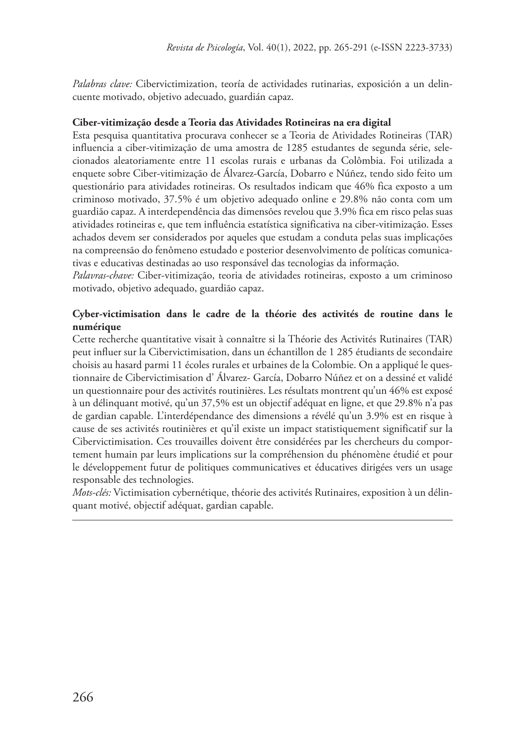*Palabras clave:* Cibervictimization, teoría de actividades rutinarias, exposición a un delincuente motivado, objetivo adecuado, guardián capaz.

#### **Ciber-vitimização desde a Teoria das Atividades Rotineiras na era digital**

Esta pesquisa quantitativa procurava conhecer se a Teoria de Atividades Rotineiras (TAR) influencia a ciber-vitimização de uma amostra de 1285 estudantes de segunda série, selecionados aleatoriamente entre 11 escolas rurais e urbanas da Colômbia. Foi utilizada a enquete sobre Ciber-vitimização de Álvarez-García, Dobarro e Núñez, tendo sido feito um questionário para atividades rotineiras. Os resultados indicam que 46% fica exposto a um criminoso motivado, 37.5% é um objetivo adequado online e 29.8% não conta com um guardião capaz. A interdependência das dimensões revelou que 3.9% fica em risco pelas suas atividades rotineiras e, que tem influência estatística significativa na ciber-vitimização. Esses achados devem ser considerados por aqueles que estudam a conduta pelas suas implicações na compreensão do fenômeno estudado e posterior desenvolvimento de políticas comunicativas e educativas destinadas ao uso responsável das tecnologias da informação.

*Palavras-chave:* Ciber-vitimização, teoria de atividades rotineiras, exposto a um criminoso motivado, objetivo adequado, guardião capaz.

#### **Cyber-victimisation dans le cadre de la théorie des activités de routine dans le numérique**

Cette recherche quantitative visait à connaître si la Théorie des Activités Rutinaires (TAR) peut influer sur la Cibervictimisation, dans un échantillon de 1 285 étudiants de secondaire choisis au hasard parmi 11 écoles rurales et urbaines de la Colombie. On a appliqué le questionnaire de Cibervictimisation d' Álvarez- García, Dobarro Núñez et on a dessiné et validé un questionnaire pour des activités routinières. Les résultats montrent qu'un 46% est exposé à un délinquant motivé, qu'un 37,5% est un objectif adéquat en ligne, et que 29.8% n'a pas de gardian capable. L'interdépendance des dimensions a révélé qu'un 3.9% est en risque à cause de ses activités routinières et qu'il existe un impact statistiquement significatif sur la Cibervictimisation. Ces trouvailles doivent être considérées par les chercheurs du comportement humain par leurs implications sur la compréhension du phénomène étudié et pour le développement futur de politiques communicatives et éducatives dirigées vers un usage responsable des technologies.

*Mots-clés:* Victimisation cybernétique, théorie des activités Rutinaires, exposition à un délinquant motivé, objectif adéquat, gardian capable.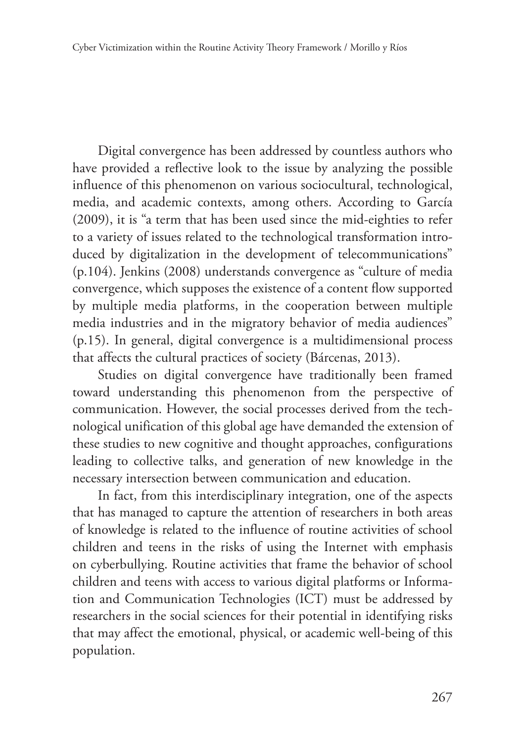Digital convergence has been addressed by countless authors who have provided a reflective look to the issue by analyzing the possible influence of this phenomenon on various sociocultural, technological, media, and academic contexts, among others. According to García (2009), it is "a term that has been used since the mid-eighties to refer to a variety of issues related to the technological transformation introduced by digitalization in the development of telecommunications" (p.104). Jenkins (2008) understands convergence as "culture of media convergence, which supposes the existence of a content flow supported by multiple media platforms, in the cooperation between multiple media industries and in the migratory behavior of media audiences" (p.15). In general, digital convergence is a multidimensional process that affects the cultural practices of society (Bárcenas, 2013).

Studies on digital convergence have traditionally been framed toward understanding this phenomenon from the perspective of communication. However, the social processes derived from the technological unification of this global age have demanded the extension of these studies to new cognitive and thought approaches, configurations leading to collective talks, and generation of new knowledge in the necessary intersection between communication and education.

In fact, from this interdisciplinary integration, one of the aspects that has managed to capture the attention of researchers in both areas of knowledge is related to the influence of routine activities of school children and teens in the risks of using the Internet with emphasis on cyberbullying. Routine activities that frame the behavior of school children and teens with access to various digital platforms or Information and Communication Technologies (ICT) must be addressed by researchers in the social sciences for their potential in identifying risks that may affect the emotional, physical, or academic well-being of this population.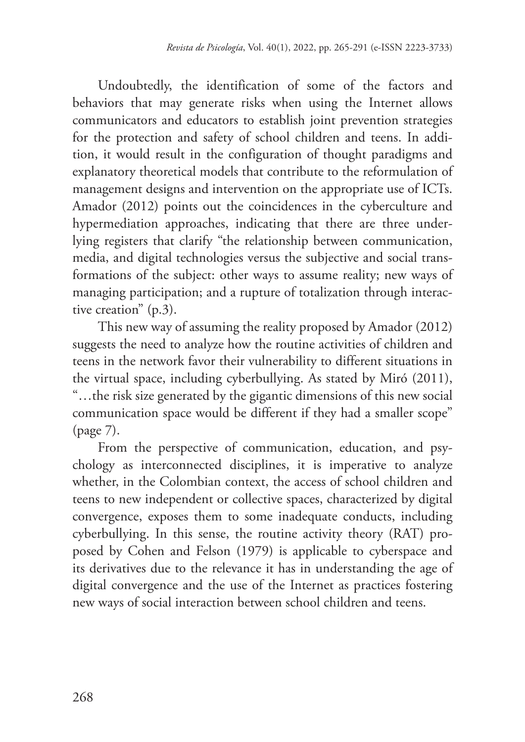Undoubtedly, the identification of some of the factors and behaviors that may generate risks when using the Internet allows communicators and educators to establish joint prevention strategies for the protection and safety of school children and teens. In addition, it would result in the configuration of thought paradigms and explanatory theoretical models that contribute to the reformulation of management designs and intervention on the appropriate use of ICTs. Amador (2012) points out the coincidences in the cyberculture and hypermediation approaches, indicating that there are three underlying registers that clarify "the relationship between communication, media, and digital technologies versus the subjective and social transformations of the subject: other ways to assume reality; new ways of managing participation; and a rupture of totalization through interactive creation" (p.3).

This new way of assuming the reality proposed by Amador (2012) suggests the need to analyze how the routine activities of children and teens in the network favor their vulnerability to different situations in the virtual space, including cyberbullying. As stated by Miró (2011), "…the risk size generated by the gigantic dimensions of this new social communication space would be different if they had a smaller scope" (page 7).

From the perspective of communication, education, and psychology as interconnected disciplines, it is imperative to analyze whether, in the Colombian context, the access of school children and teens to new independent or collective spaces, characterized by digital convergence, exposes them to some inadequate conducts, including cyberbullying. In this sense, the routine activity theory (RAT) proposed by Cohen and Felson (1979) is applicable to cyberspace and its derivatives due to the relevance it has in understanding the age of digital convergence and the use of the Internet as practices fostering new ways of social interaction between school children and teens.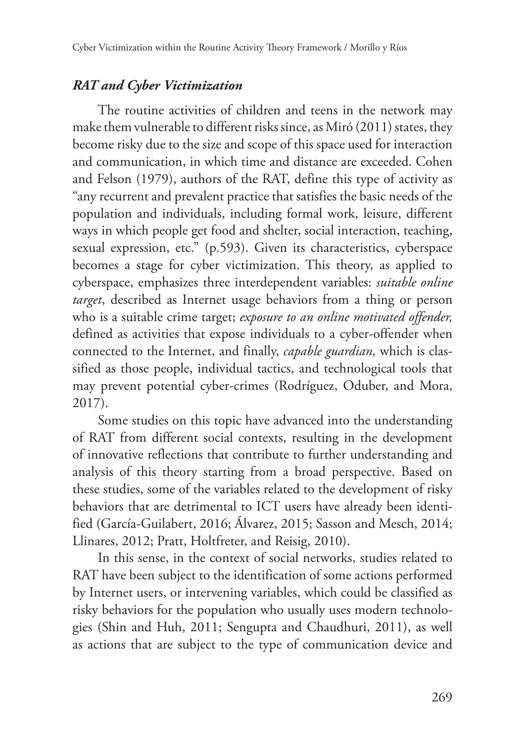## *RAT and Cyber Victimization*

The routine activities of children and teens in the network may make them vulnerable to different risks since, as Miró (2011) states, they become risky due to the size and scope of this space used for interaction and communication, in which time and distance are exceeded. Cohen and Felson (1979), authors of the RAT, define this type of activity as "any recurrent and prevalent practice that satisfies the basic needs of the population and individuals, including formal work, leisure, different ways in which people get food and shelter, social interaction, teaching, sexual expression, etc." (p.593). Given its characteristics, cyberspace becomes a stage for cyber victimization. This theory, as applied to cyberspace, emphasizes three interdependent variables: *suitable online target*, described as Internet usage behaviors from a thing or person who is a suitable crime target; *exposure to an online motivated offender,* defined as activities that expose individuals to a cyber-offender when connected to the Internet, and finally, *capable guardian,* which is classified as those people, individual tactics, and technological tools that may prevent potential cyber-crimes (Rodríguez, Oduber, and Mora, 2017).

Some studies on this topic have advanced into the understanding of RAT from different social contexts, resulting in the development of innovative reflections that contribute to further understanding and analysis of this theory starting from a broad perspective. Based on these studies, some of the variables related to the development of risky behaviors that are detrimental to ICT users have already been identified (García-Guilabert, 2016; Álvarez, 2015; Sasson and Mesch, 2014; Llinares, 2012; Pratt, Holtfreter, and Reisig, 2010).

In this sense, in the context of social networks, studies related to RAT have been subject to the identification of some actions performed by Internet users, or intervening variables, which could be classified as risky behaviors for the population who usually uses modern technologies (Shin and Huh, 2011; Sengupta and Chaudhuri, 2011), as well as actions that are subject to the type of communication device and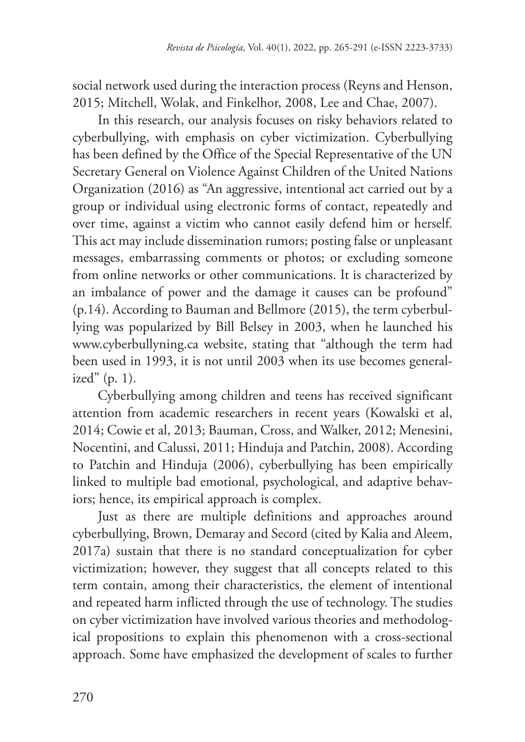social network used during the interaction process (Reyns and Henson, 2015; Mitchell, Wolak, and Finkelhor, 2008, Lee and Chae, 2007).

In this research, our analysis focuses on risky behaviors related to cyberbullying, with emphasis on cyber victimization. Cyberbullying has been defined by the Office of the Special Representative of the UN Secretary General on Violence Against Children of the United Nations Organization (2016) as "An aggressive, intentional act carried out by a group or individual using electronic forms of contact, repeatedly and over time, against a victim who cannot easily defend him or herself. This act may include dissemination rumors; posting false or unpleasant messages, embarrassing comments or photos; or excluding someone from online networks or other communications. It is characterized by an imbalance of power and the damage it causes can be profound" (p.14). According to Bauman and Bellmore (2015), the term cyberbullying was popularized by Bill Belsey in 2003, when he launched his www.cyberbullyning.ca website, stating that "although the term had been used in 1993, it is not until 2003 when its use becomes generalized"  $(p. 1)$ .

Cyberbullying among children and teens has received significant attention from academic researchers in recent years (Kowalski et al, 2014; Cowie et al, 2013; Bauman, Cross, and Walker, 2012; Menesini, Nocentini, and Calussi, 2011; Hinduja and Patchin, 2008). According to Patchin and Hinduja (2006), cyberbullying has been empirically linked to multiple bad emotional, psychological, and adaptive behaviors; hence, its empirical approach is complex.

Just as there are multiple definitions and approaches around cyberbullying, Brown, Demaray and Secord (cited by Kalia and Aleem, 2017a) sustain that there is no standard conceptualization for cyber victimization; however, they suggest that all concepts related to this term contain, among their characteristics, the element of intentional and repeated harm inflicted through the use of technology. The studies on cyber victimization have involved various theories and methodological propositions to explain this phenomenon with a cross-sectional approach. Some have emphasized the development of scales to further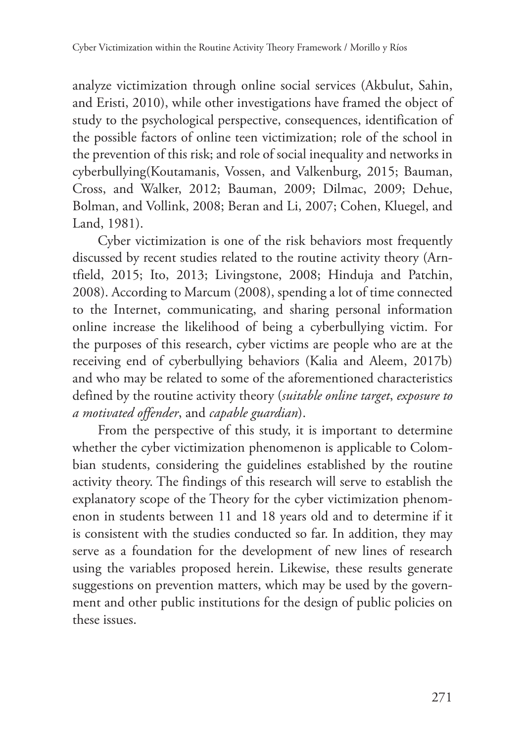analyze victimization through online social services (Akbulut, Sahin, and Eristi, 2010), while other investigations have framed the object of study to the psychological perspective, consequences, identification of the possible factors of online teen victimization; role of the school in the prevention of this risk; and role of social inequality and networks in cyberbullying(Koutamanis, Vossen, and Valkenburg, 2015; Bauman, Cross, and Walker, 2012; Bauman, 2009; Dilmac, 2009; Dehue, Bolman, and Vollink, 2008; Beran and Li, 2007; Cohen, Kluegel, and Land, 1981).

Cyber victimization is one of the risk behaviors most frequently discussed by recent studies related to the routine activity theory (Arntfield, 2015; Ito, 2013; Livingstone, 2008; Hinduja and Patchin, 2008). According to Marcum (2008), spending a lot of time connected to the Internet, communicating, and sharing personal information online increase the likelihood of being a cyberbullying victim. For the purposes of this research, cyber victims are people who are at the receiving end of cyberbullying behaviors (Kalia and Aleem, 2017b) and who may be related to some of the aforementioned characteristics defined by the routine activity theory (*suitable online target*, *exposure to a motivated offender*, and *capable guardian*).

From the perspective of this study, it is important to determine whether the cyber victimization phenomenon is applicable to Colombian students, considering the guidelines established by the routine activity theory. The findings of this research will serve to establish the explanatory scope of the Theory for the cyber victimization phenomenon in students between 11 and 18 years old and to determine if it is consistent with the studies conducted so far. In addition, they may serve as a foundation for the development of new lines of research using the variables proposed herein. Likewise, these results generate suggestions on prevention matters, which may be used by the government and other public institutions for the design of public policies on these issues.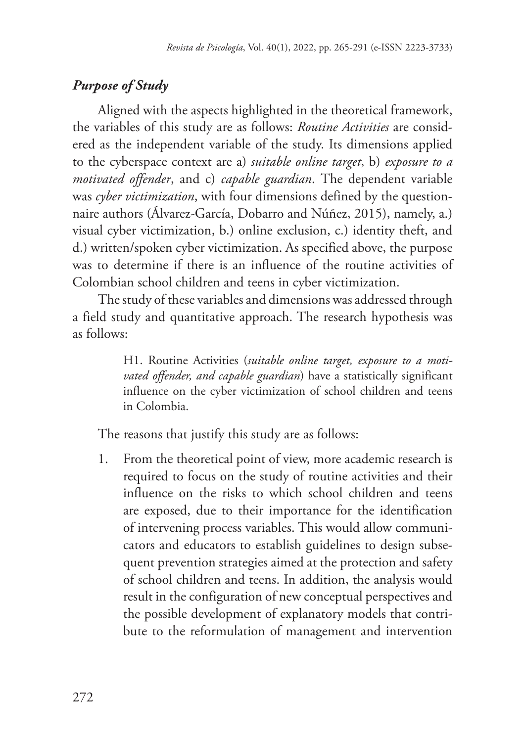# *Purpose of Study*

Aligned with the aspects highlighted in the theoretical framework, the variables of this study are as follows: *Routine Activities* are considered as the independent variable of the study. Its dimensions applied to the cyberspace context are a) *suitable online target*, b) *exposure to a motivated offender*, and c) *capable guardian*. The dependent variable was *cyber victimization*, with four dimensions defined by the questionnaire authors (Álvarez-García, Dobarro and Núñez, 2015), namely, a.) visual cyber victimization, b.) online exclusion, c.) identity theft, and d.) written/spoken cyber victimization. As specified above, the purpose was to determine if there is an influence of the routine activities of Colombian school children and teens in cyber victimization.

The study of these variables and dimensions was addressed through a field study and quantitative approach. The research hypothesis was as follows:

> H1. Routine Activities (*suitable online target, exposure to a motivated offender, and capable guardian*) have a statistically significant influence on the cyber victimization of school children and teens in Colombia.

The reasons that justify this study are as follows:

1. From the theoretical point of view, more academic research is required to focus on the study of routine activities and their influence on the risks to which school children and teens are exposed, due to their importance for the identification of intervening process variables. This would allow communicators and educators to establish guidelines to design subsequent prevention strategies aimed at the protection and safety of school children and teens. In addition, the analysis would result in the configuration of new conceptual perspectives and the possible development of explanatory models that contribute to the reformulation of management and intervention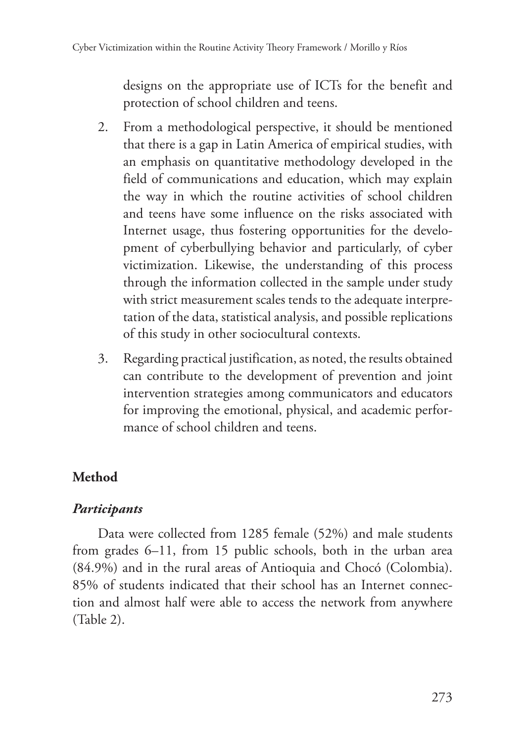designs on the appropriate use of ICTs for the benefit and protection of school children and teens.

- 2. From a methodological perspective, it should be mentioned that there is a gap in Latin America of empirical studies, with an emphasis on quantitative methodology developed in the field of communications and education, which may explain the way in which the routine activities of school children and teens have some influence on the risks associated with Internet usage, thus fostering opportunities for the development of cyberbullying behavior and particularly, of cyber victimization. Likewise, the understanding of this process through the information collected in the sample under study with strict measurement scales tends to the adequate interpretation of the data, statistical analysis, and possible replications of this study in other sociocultural contexts.
- 3. Regarding practical justification, as noted, the results obtained can contribute to the development of prevention and joint intervention strategies among communicators and educators for improving the emotional, physical, and academic performance of school children and teens.

# **Method**

# *Participants*

Data were collected from 1285 female (52%) and male students from grades 6–11, from 15 public schools, both in the urban area (84.9%) and in the rural areas of Antioquia and Chocó (Colombia). 85% of students indicated that their school has an Internet connection and almost half were able to access the network from anywhere (Table 2).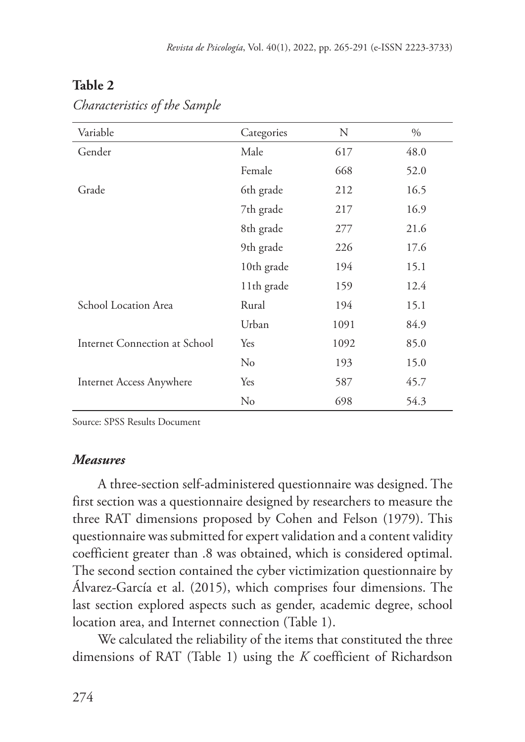|--|--|

| Variable                        | Categories | N    | $\%$ |
|---------------------------------|------------|------|------|
| Gender                          | Male       | 617  | 48.0 |
|                                 | Female     | 668  | 52.0 |
| Grade                           | 6th grade  | 212  | 16.5 |
|                                 | 7th grade  | 217  | 16.9 |
|                                 | 8th grade  | 277  | 21.6 |
|                                 | 9th grade  | 226  | 17.6 |
|                                 | 10th grade | 194  | 15.1 |
|                                 | 11th grade | 159  | 12.4 |
| School Location Area            | Rural      | 194  | 15.1 |
|                                 | Urban      | 1091 | 84.9 |
| Internet Connection at School   | Yes        | 1092 | 85.0 |
|                                 | $\rm No$   | 193  | 15.0 |
| <b>Internet Access Anywhere</b> | Yes        | 587  | 45.7 |
|                                 | $\rm No$   | 698  | 54.3 |

*Characteristics of the Sample*

Source: SPSS Results Document

### *Measures*

A three-section self-administered questionnaire was designed. The first section was a questionnaire designed by researchers to measure the three RAT dimensions proposed by Cohen and Felson (1979). This questionnaire was submitted for expert validation and a content validity coefficient greater than .8 was obtained, which is considered optimal. The second section contained the cyber victimization questionnaire by Álvarez-García et al. (2015), which comprises four dimensions. The last section explored aspects such as gender, academic degree, school location area, and Internet connection (Table 1).

We calculated the reliability of the items that constituted the three dimensions of RAT (Table 1) using the *K* coefficient of Richardson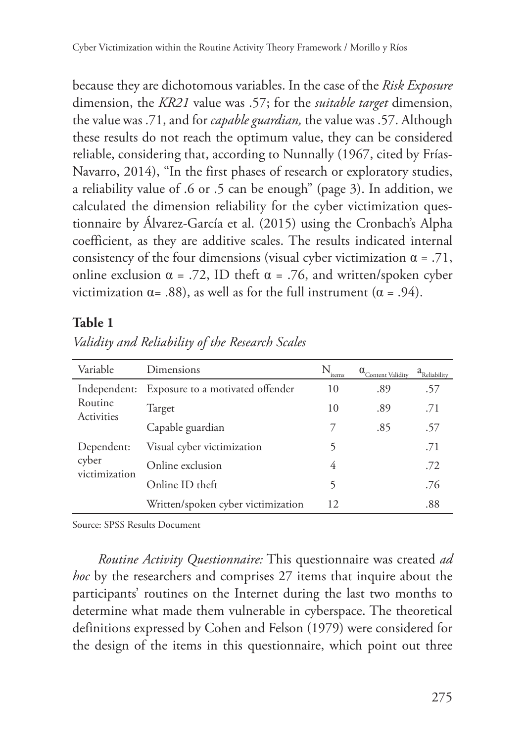because they are dichotomous variables. In the case of the *Risk Exposure* dimension, the *KR21* value was .57; for the *suitable target* dimension, the value was .71, and for *capable guardian,* the value was .57. Although these results do not reach the optimum value, they can be considered reliable, considering that, according to Nunnally (1967, cited by Frías-Navarro, 2014), "In the first phases of research or exploratory studies, a reliability value of .6 or .5 can be enough" (page 3). In addition, we calculated the dimension reliability for the cyber victimization questionnaire by Álvarez-García et al. (2015) using the Cronbach's Alpha coefficient, as they are additive scales. The results indicated internal consistency of the four dimensions (visual cyber victimization  $\alpha = .71$ , online exclusion  $\alpha = .72$ , ID theft  $\alpha = .76$ , and written/spoken cyber victimization  $\alpha$ = .88), as well as for the full instrument ( $\alpha$  = .94).

#### **Table 1**

| Variable                     | Dimensions                         | N.<br>items | $\alpha_{\text{Content Validity}}$ | a <sub>Reliability</sub> |
|------------------------------|------------------------------------|-------------|------------------------------------|--------------------------|
| Independent:                 | Exposure to a motivated offender   | 10          | .89                                | .57                      |
| Routine<br><b>Activities</b> | Target                             | 10          | .89                                | .71                      |
|                              | Capable guardian                   |             | .85                                | .57                      |
| Dependent:                   | Visual cyber victimization         | 5           |                                    | .71                      |
| cyber<br>victimization       | Online exclusion                   | 4           |                                    | .72                      |
|                              | Online ID theft                    | 5           |                                    | .76                      |
|                              | Written/spoken cyber victimization | 12          |                                    | .88                      |

*Validity and Reliability of the Research Scales* 

Source: SPSS Results Document

*Routine Activity Questionnaire:* This questionnaire was created *ad hoc* by the researchers and comprises 27 items that inquire about the participants' routines on the Internet during the last two months to determine what made them vulnerable in cyberspace. The theoretical definitions expressed by Cohen and Felson (1979) were considered for the design of the items in this questionnaire, which point out three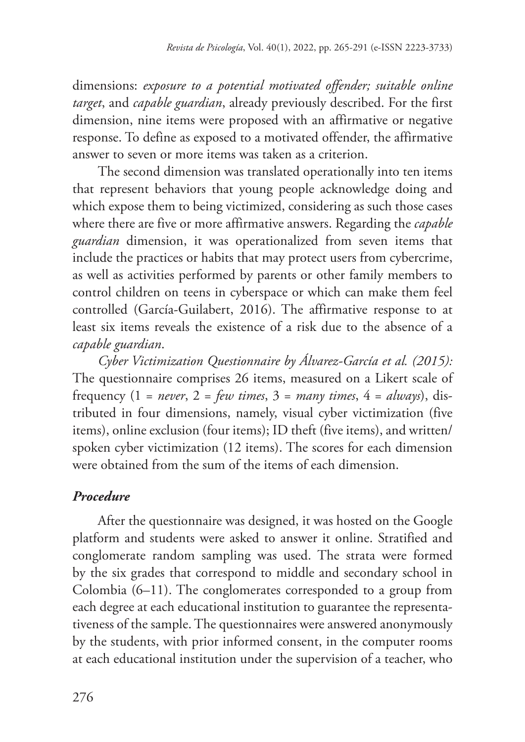dimensions: *exposure to a potential motivated offender; suitable online target*, and *capable guardian*, already previously described. For the first dimension, nine items were proposed with an affirmative or negative response. To define as exposed to a motivated offender, the affirmative answer to seven or more items was taken as a criterion.

The second dimension was translated operationally into ten items that represent behaviors that young people acknowledge doing and which expose them to being victimized, considering as such those cases where there are five or more affirmative answers. Regarding the *capable guardian* dimension, it was operationalized from seven items that include the practices or habits that may protect users from cybercrime, as well as activities performed by parents or other family members to control children on teens in cyberspace or which can make them feel controlled (García-Guilabert, 2016). The affirmative response to at least six items reveals the existence of a risk due to the absence of a *capable guardian*.

*Cyber Victimization Questionnaire by Álvarez-García et al. (2015):* The questionnaire comprises 26 items, measured on a Likert scale of frequency  $(1 = never, 2 = few times, 3 = many times, 4 = always)$ , distributed in four dimensions, namely, visual cyber victimization (five items), online exclusion (four items); ID theft (five items), and written/ spoken cyber victimization (12 items). The scores for each dimension were obtained from the sum of the items of each dimension.

# *Procedure*

After the questionnaire was designed, it was hosted on the Google platform and students were asked to answer it online. Stratified and conglomerate random sampling was used. The strata were formed by the six grades that correspond to middle and secondary school in Colombia (6–11). The conglomerates corresponded to a group from each degree at each educational institution to guarantee the representativeness of the sample. The questionnaires were answered anonymously by the students, with prior informed consent, in the computer rooms at each educational institution under the supervision of a teacher, who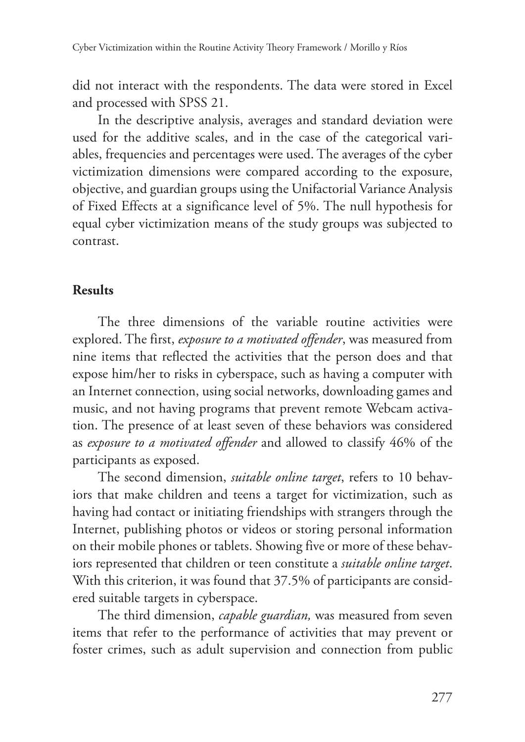did not interact with the respondents. The data were stored in Excel and processed with SPSS 21.

In the descriptive analysis, averages and standard deviation were used for the additive scales, and in the case of the categorical variables, frequencies and percentages were used. The averages of the cyber victimization dimensions were compared according to the exposure, objective, and guardian groups using the Unifactorial Variance Analysis of Fixed Effects at a significance level of 5%. The null hypothesis for equal cyber victimization means of the study groups was subjected to contrast.

## **Results**

The three dimensions of the variable routine activities were explored. The first, *exposure to a motivated offender*, was measured from nine items that reflected the activities that the person does and that expose him/her to risks in cyberspace, such as having a computer with an Internet connection, using social networks, downloading games and music, and not having programs that prevent remote Webcam activation. The presence of at least seven of these behaviors was considered as *exposure to a motivated offender* and allowed to classify 46% of the participants as exposed.

The second dimension, *suitable online target*, refers to 10 behaviors that make children and teens a target for victimization, such as having had contact or initiating friendships with strangers through the Internet, publishing photos or videos or storing personal information on their mobile phones or tablets. Showing five or more of these behaviors represented that children or teen constitute a *suitable online target*. With this criterion, it was found that 37.5% of participants are considered suitable targets in cyberspace.

The third dimension, *capable guardian,* was measured from seven items that refer to the performance of activities that may prevent or foster crimes, such as adult supervision and connection from public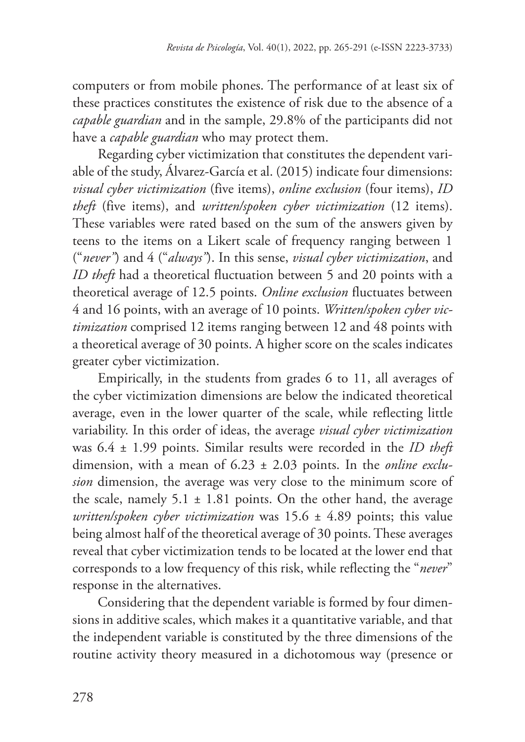computers or from mobile phones. The performance of at least six of these practices constitutes the existence of risk due to the absence of a *capable guardian* and in the sample, 29.8% of the participants did not have a *capable guardian* who may protect them.

Regarding cyber victimization that constitutes the dependent variable of the study, Álvarez-García et al. (2015) indicate four dimensions: *visual cyber victimization* (five items), *online exclusion* (four items), *ID theft* (five items), and *written/spoken cyber victimization* (12 items). These variables were rated based on the sum of the answers given by teens to the items on a Likert scale of frequency ranging between 1 ("*never"*) and 4 ("*always"*). In this sense, *visual cyber victimization*, and *ID theft* had a theoretical fluctuation between 5 and 20 points with a theoretical average of 12.5 points. *Online exclusion* fluctuates between 4 and 16 points, with an average of 10 points. *Written/spoken cyber victimization* comprised 12 items ranging between 12 and 48 points with a theoretical average of 30 points. A higher score on the scales indicates greater cyber victimization.

Empirically, in the students from grades 6 to 11, all averages of the cyber victimization dimensions are below the indicated theoretical average, even in the lower quarter of the scale, while reflecting little variability. In this order of ideas, the average *visual cyber victimization* was 6.4 ± 1.99 points. Similar results were recorded in the *ID theft* dimension, with a mean of 6.23 ± 2.03 points. In the *online exclusion* dimension, the average was very close to the minimum score of the scale, namely  $5.1 \pm 1.81$  points. On the other hand, the average *written/spoken cyber victimization* was 15.6 ± 4.89 points; this value being almost half of the theoretical average of 30 points. These averages reveal that cyber victimization tends to be located at the lower end that corresponds to a low frequency of this risk, while reflecting the "*never*" response in the alternatives.

Considering that the dependent variable is formed by four dimensions in additive scales, which makes it a quantitative variable, and that the independent variable is constituted by the three dimensions of the routine activity theory measured in a dichotomous way (presence or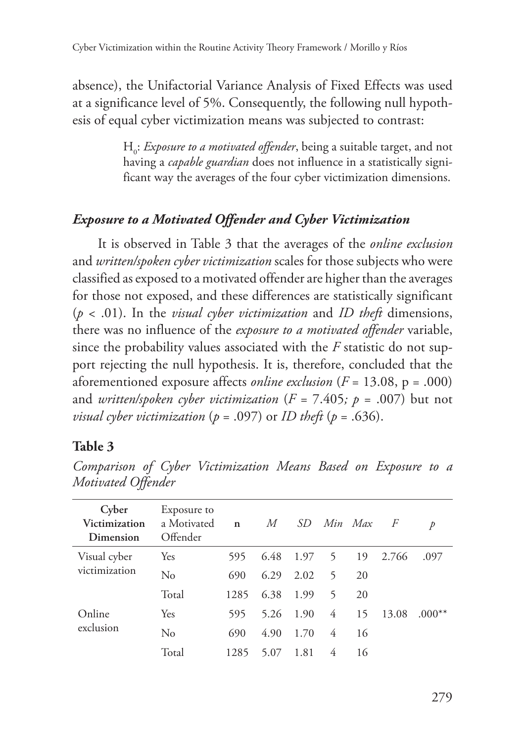absence), the Unifactorial Variance Analysis of Fixed Effects was used at a significance level of 5%. Consequently, the following null hypothesis of equal cyber victimization means was subjected to contrast:

> H0 : *Exposure to a motivated offender*, being a suitable target, and not having a *capable guardian* does not influence in a statistically significant way the averages of the four cyber victimization dimensions.

# *Exposure to a Motivated Offender and Cyber Victimization*

It is observed in Table 3 that the averages of the *online exclusion* and *written/spoken cyber victimization* scales for those subjects who were classified as exposed to a motivated offender are higher than the averages for those not exposed, and these differences are statistically significant (*p* < .01). In the *visual cyber victimization* and *ID theft* dimensions, there was no influence of the *exposure to a motivated offender* variable, since the probability values associated with the *F* statistic do not support rejecting the null hypothesis. It is, therefore, concluded that the aforementioned exposure affects *online exclusion* (*F* = 13.08, p = .000) and *written/spoken cyber victimization*  $(F = 7.405; p = .007)$  but not *visual cyber victimization* ( $p = .097$ ) or *ID theft* ( $p = .636$ ).

### **Table 3**

| Cyber<br>Victimization<br>Dimension | Exposure to<br>a Morivated<br>Offender | $\mathbf{n}$ | M    |      | SD Min Max |    | $\overline{F}$ | р        |
|-------------------------------------|----------------------------------------|--------------|------|------|------------|----|----------------|----------|
| Visual cyber                        | Yes                                    | 595          | 6.48 | 1.97 | 5          | 19 | 2.766          | .097     |
| victimization                       | $\rm No$                               | 690          | 6.29 | 2.02 | 5          | 20 |                |          |
|                                     | Total                                  | 1285         | 6.38 | 1.99 | 5          | 20 |                |          |
| Online                              | Yes                                    | 595          | 5.26 | 1.90 | 4          | 15 | 13.08          | $.000**$ |
| exclusion                           | $\rm No$                               | 690          | 4.90 | 1.70 | 4          | 16 |                |          |
|                                     | Total                                  | 1285         | 5.07 | 1.81 | 4          | 16 |                |          |

*Comparison of Cyber Victimization Means Based on Exposure to a Motivated Offender*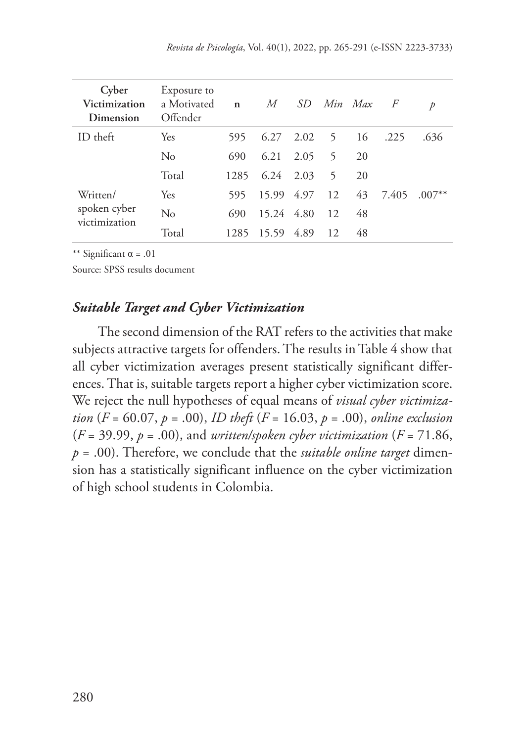| Cyber<br>Victimization<br>Dimension | Exposure to<br>a Morivated<br>Offender | $\mathbf n$ | M             | SD.  | Min Max        |    | $\overline{F}$ | $\mathcal{D}$ |
|-------------------------------------|----------------------------------------|-------------|---------------|------|----------------|----|----------------|---------------|
| $ID$ theft                          | Yes                                    | 595         | 6.27          | 2.02 | 5 <sup>5</sup> | 16 | .225           | .636          |
|                                     | $\rm No$                               | 690         | 6.21          | 2.05 | 5              | 20 |                |               |
|                                     | Total                                  | 1285        | $6.24$ $2.03$ |      | 5              | 20 |                |               |
| Written/                            | Yes                                    | 595         | 15.99         | 4.97 | 12             | 43 | 7.405          | $.007**$      |
| spoken cyber<br>victimization       | No                                     | 690         | 15.24 4.80    |      | 12             | 48 |                |               |
|                                     | Total                                  | 1285        | 15.59 4.89    |      | 12             | 48 |                |               |

\*\* Significant  $\alpha$  = .01

Source: SPSS results document

#### *Suitable Target and Cyber Victimization*

The second dimension of the RAT refers to the activities that make subjects attractive targets for offenders. The results in Table 4 show that all cyber victimization averages present statistically significant differences. That is, suitable targets report a higher cyber victimization score. We reject the null hypotheses of equal means of *visual cyber victimization* (*F* = 60.07, *p* = .00), *ID theft* (*F* = 16.03, *p* = .00), *online exclusion*  $(F = 39.99, p = .00)$ , and *written/spoken cyber victimization*  $(F = 71.86,$ *p* = .00). Therefore, we conclude that the *suitable online target* dimension has a statistically significant influence on the cyber victimization of high school students in Colombia.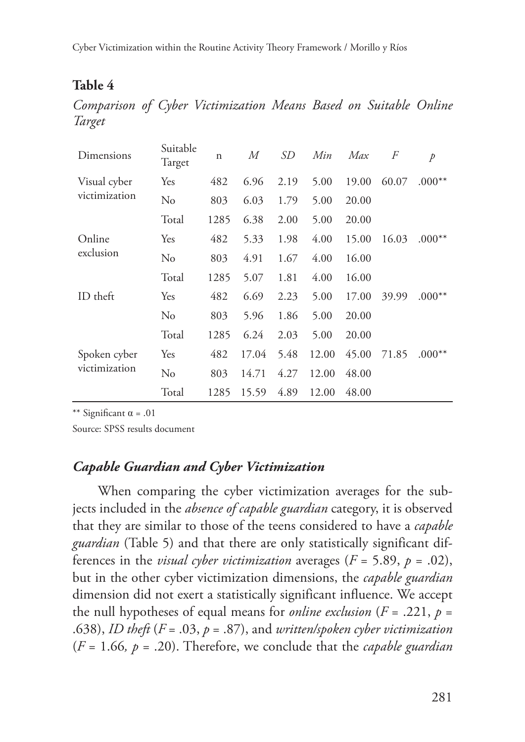Cyber Victimization within the Routine Activity Theory Framework / Morillo y Ríos

### **Table 4**

*Comparison of Cyber Victimization Means Based on Suitable Online Target*

| Dimensions    | Suitable<br>Target | $\mathbf n$ | М     | SD   | Min   | Max   | F     | p        |
|---------------|--------------------|-------------|-------|------|-------|-------|-------|----------|
| Visual cyber  | Yes                | 482         | 6.96  | 2.19 | 5.00  | 19.00 | 60.07 | $.000**$ |
| victimization | $\rm No$           | 803         | 6.03  | 1.79 | 5.00  | 20.00 |       |          |
|               | Total              | 1285        | 6.38  | 2.00 | 5.00  | 20.00 |       |          |
| Online        | Yes                | 482         | 5.33  | 1.98 | 4.00  | 15.00 | 16.03 | $.000**$ |
| exclusion     | No                 | 803         | 4.91  | 1.67 | 4.00  | 16.00 |       |          |
|               | Total              | 1285        | 5.07  | 1.81 | 4.00  | 16.00 |       |          |
| ID theft      | Yes                | 482         | 6.69  | 2.23 | 5.00  | 17.00 | 39.99 | $.000**$ |
|               | No                 | 803         | 5.96  | 1.86 | 5.00  | 20.00 |       |          |
|               | Total              | 1285        | 6.24  | 2.03 | 5.00  | 20.00 |       |          |
| Spoken cyber  | Yes                | 482         | 17.04 | 5.48 | 12.00 | 45.00 | 71.85 | $.000**$ |
| victimization | No                 | 803         | 14.71 | 4.27 | 12.00 | 48.00 |       |          |
|               | Total              | 1285        | 15.59 | 4.89 | 12.00 | 48.00 |       |          |

\*\* Significant  $\alpha$  = .01

Source: SPSS results document

#### *Capable Guardian and Cyber Victimization*

When comparing the cyber victimization averages for the subjects included in the *absence of capable guardian* category, it is observed that they are similar to those of the teens considered to have a *capable guardian* (Table 5) and that there are only statistically significant differences in the *visual cyber victimization* averages ( $F = 5.89$ ,  $p = .02$ ), but in the other cyber victimization dimensions, the *capable guardian* dimension did not exert a statistically significant influence. We accept the null hypotheses of equal means for *online exclusion*  $(F = .221, p =$ .638), *ID theft* (*F* = .03, *p* = .87), and *written/spoken cyber victimization* (*F* = 1.66*, p* = .20). Therefore, we conclude that the *capable guardian*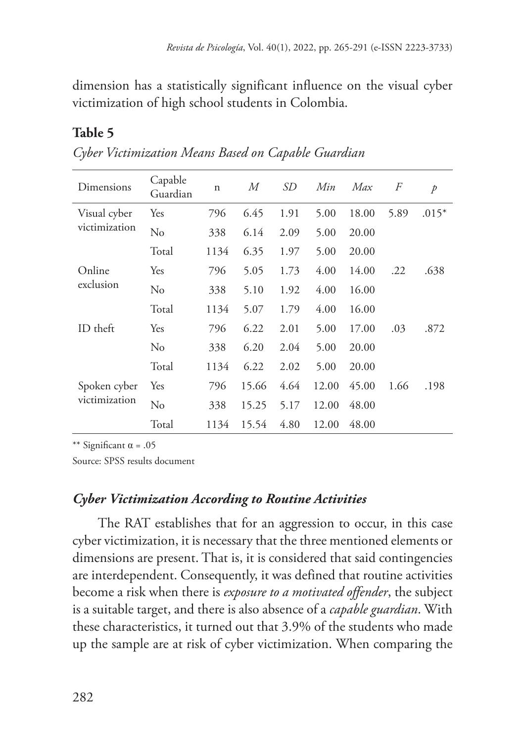dimension has a statistically significant influence on the visual cyber victimization of high school students in Colombia.

## **Table 5**

| Dimensions    | Capable<br>Guardian | $\mathbf n$ | $\overline{M}$ | <i>SD</i> | Min   | Max   | F    | $\mathcal{P}$ |
|---------------|---------------------|-------------|----------------|-----------|-------|-------|------|---------------|
| Visual cyber  | Yes                 | 796         | 6.45           | 1.91      | 5.00  | 18.00 | 5.89 | $.015*$       |
| victimization | $\rm No$            | 338         | 6.14           | 2.09      | 5.00  | 20.00 |      |               |
|               | Total               | 1134        | 6.35           | 1.97      | 5.00  | 20.00 |      |               |
| Online        | Yes                 | 796         | 5.05           | 1.73      | 4.00  | 14.00 | .22  | .638          |
| exclusion     | No                  | 338         | 5.10           | 1.92      | 4.00  | 16.00 |      |               |
|               | Total               | 1134        | 5.07           | 1.79      | 4.00  | 16.00 |      |               |
| ID theft      | Yes                 | 796         | 6.22           | 2.01      | 5.00  | 17.00 | .03  | .872          |
|               | No                  | 338         | 6.20           | 2.04      | 5.00  | 20.00 |      |               |
|               | Total               | 1134        | 6.22           | 2.02      | 5.00  | 20.00 |      |               |
| Spoken cyber  | Yes                 | 796         | 15.66          | 4.64      | 12.00 | 45.00 | 1.66 | .198          |
| victimization | No                  | 338         | 15.25          | 5.17      | 12.00 | 48.00 |      |               |
|               | Total               | 1134        | 15.54          | 4.80      | 12.00 | 48.00 |      |               |

*Cyber Victimization Means Based on Capable Guardian*

\*\* Significant  $\alpha$  = .05

Source: SPSS results document

### *Cyber Victimization According to Routine Activities*

The RAT establishes that for an aggression to occur, in this case cyber victimization, it is necessary that the three mentioned elements or dimensions are present. That is, it is considered that said contingencies are interdependent. Consequently, it was defined that routine activities become a risk when there is *exposure to a motivated offender*, the subject is a suitable target, and there is also absence of a *capable guardian*. With these characteristics, it turned out that 3.9% of the students who made up the sample are at risk of cyber victimization. When comparing the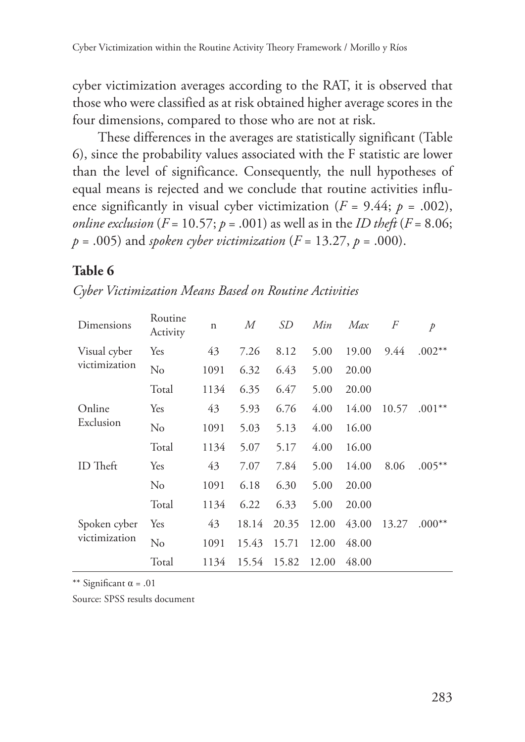cyber victimization averages according to the RAT, it is observed that those who were classified as at risk obtained higher average scores in the four dimensions, compared to those who are not at risk.

These differences in the averages are statistically significant (Table 6), since the probability values associated with the F statistic are lower than the level of significance. Consequently, the null hypotheses of equal means is rejected and we conclude that routine activities influence significantly in visual cyber victimization ( $F = 9.44$ ;  $p = .002$ ), *online exclusion* ( $F = 10.57$ ;  $p = .001$ ) as well as in the *ID theft* ( $F = 8.06$ ; *p* = .005) and *spoken cyber victimization* ( $F = 13.27$ ,  $p = .000$ ).

#### **Table 6**

| Dimensions                    | Routine<br>Activity | $\mathbf n$ | М     | SD    | Min   | Max   | F     | $\rlap{/}p$ |
|-------------------------------|---------------------|-------------|-------|-------|-------|-------|-------|-------------|
| Visual cyber                  | Yes                 | 43          | 7.26  | 8.12  | 5.00  | 19.00 | 9.44  | $.002**$    |
| victimization                 | No                  | 1091        | 6.32  | 6.43  | 5.00  | 20.00 |       |             |
|                               | Total               | 1134        | 6.35  | 6.47  | 5.00  | 20.00 |       |             |
| Online                        | Yes                 | 43          | 5.93  | 6.76  | 4.00  | 14.00 | 10.57 | $.001**$    |
| Exclusion                     | No                  | 1091        | 5.03  | 5.13  | 4.00  | 16.00 |       |             |
|                               | Total               | 1134        | 5.07  | 5.17  | 4.00  | 16.00 |       |             |
| ID Theft                      | Yes                 | 43          | 7.07  | 7.84  | 5.00  | 14.00 | 8.06  | $.005**$    |
|                               | No                  | 1091        | 6.18  | 6.30  | 5.00  | 20.00 |       |             |
|                               | Total               | 1134        | 6.22  | 6.33  | 5.00  | 20.00 |       |             |
| Spoken cyber<br>victimization | Yes                 | 43          | 18.14 | 20.35 | 12.00 | 43.00 | 13.27 | $.000**$    |
|                               | No                  | 1091        | 15.43 | 15.71 | 12.00 | 48.00 |       |             |
|                               | Total               | 1134        | 15.54 | 15.82 | 12.00 | 48.00 |       |             |

*Cyber Victimization Means Based on Routine Activities*

\*\* Significant  $\alpha$  = .01

Source: SPSS results document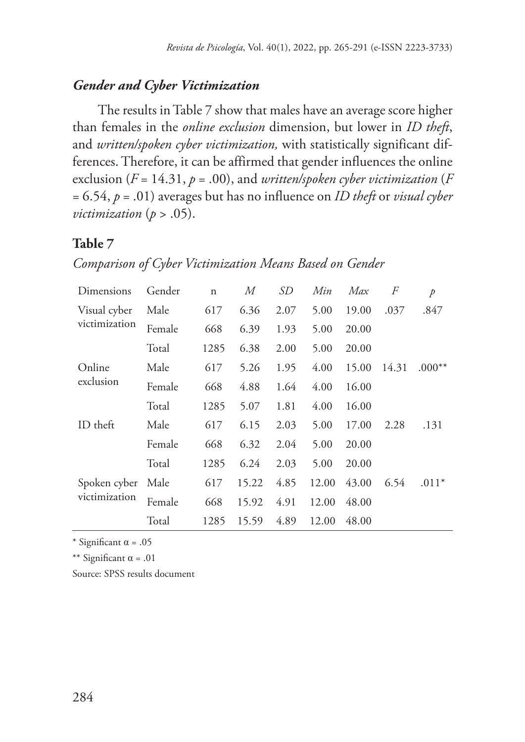#### *Gender and Cyber Victimization*

The results in Table 7 show that males have an average score higher than females in the *online exclusion* dimension, but lower in *ID theft*, and *written/spoken cyber victimization,* with statistically significant differences. Therefore, it can be affirmed that gender influences the online exclusion (*F* = 14.31, *p* = .00), and *written/spoken cyber victimization* (*F*  = 6.54, *p* = .01) averages but has no influence on *ID theft* or *visual cyber victimization* (*p* > .05).

### **Table 7**

|  |  |  | Comparison of Cyber Victimization Means Based on Gender |  |  |  |  |
|--|--|--|---------------------------------------------------------|--|--|--|--|
|--|--|--|---------------------------------------------------------|--|--|--|--|

| Dimensions                    | Gender | $\mathbf n$ | М     | SD   | Min   | Max   | F     | p        |
|-------------------------------|--------|-------------|-------|------|-------|-------|-------|----------|
| Visual cyber<br>victimization | Male   | 617         | 6.36  | 2.07 | 5.00  | 19.00 | .037  | .847     |
|                               | Female | 668         | 6.39  | 1.93 | 5.00  | 20.00 |       |          |
|                               | Total  | 1285        | 6.38  | 2.00 | 5.00  | 20.00 |       |          |
| Online                        | Male   | 617         | 5.26  | 1.95 | 4.00  | 15.00 | 14.31 | $.000**$ |
| exclusion                     | Female | 668         | 4.88  | 1.64 | 4.00  | 16.00 |       |          |
|                               | Total  | 1285        | 5.07  | 1.81 | 4.00  | 16.00 |       |          |
| ID theft                      | Male   | 617         | 6.15  | 2.03 | 5.00  | 17.00 | 2.28  | .131     |
|                               | Female | 668         | 6.32  | 2.04 | 5.00  | 20.00 |       |          |
|                               | Total  | 1285        | 6.24  | 2.03 | 5.00  | 20.00 |       |          |
| Spoken cyber<br>victimization | Male   | 617         | 15.22 | 4.85 | 12.00 | 43.00 | 6.54  | $.011*$  |
|                               | Female | 668         | 15.92 | 4.91 | 12.00 | 48.00 |       |          |
|                               | Total  | 1285        | 15.59 | 4.89 | 12.00 | 48.00 |       |          |

\* Significant  $\alpha$  = .05

\*\* Significant  $\alpha$  = .01

Source: SPSS results document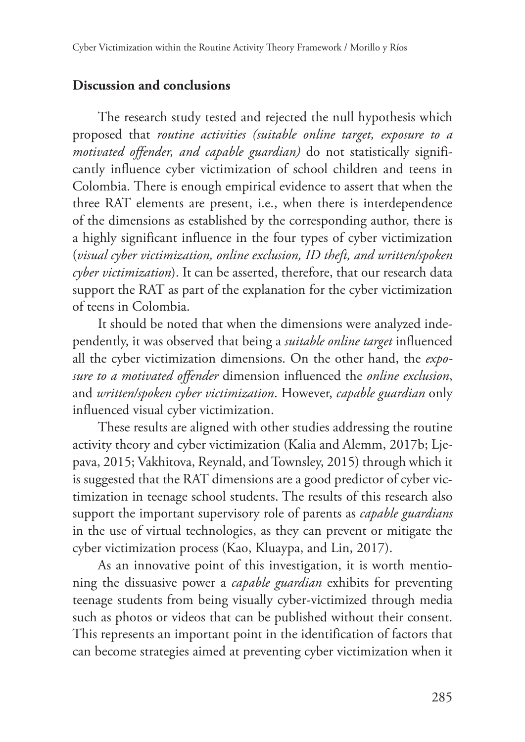# **Discussion and conclusions**

The research study tested and rejected the null hypothesis which proposed that *routine activities (suitable online target, exposure to a motivated offender, and capable guardian)* do not statistically significantly influence cyber victimization of school children and teens in Colombia. There is enough empirical evidence to assert that when the three RAT elements are present, i.e., when there is interdependence of the dimensions as established by the corresponding author, there is a highly significant influence in the four types of cyber victimization (*visual cyber victimization, online exclusion, ID theft, and written/spoken cyber victimization*). It can be asserted, therefore, that our research data support the RAT as part of the explanation for the cyber victimization of teens in Colombia.

It should be noted that when the dimensions were analyzed independently, it was observed that being a *suitable online target* influenced all the cyber victimization dimensions. On the other hand, the *exposure to a motivated offender* dimension influenced the *online exclusion*, and *written/spoken cyber victimization*. However, *capable guardian* only influenced visual cyber victimization.

These results are aligned with other studies addressing the routine activity theory and cyber victimization (Kalia and Alemm, 2017b; Ljepava, 2015; Vakhitova, Reynald, and Townsley, 2015) through which it is suggested that the RAT dimensions are a good predictor of cyber victimization in teenage school students. The results of this research also support the important supervisory role of parents as *capable guardians* in the use of virtual technologies, as they can prevent or mitigate the cyber victimization process (Kao, Kluaypa, and Lin, 2017).

As an innovative point of this investigation, it is worth mentioning the dissuasive power a *capable guardian* exhibits for preventing teenage students from being visually cyber-victimized through media such as photos or videos that can be published without their consent. This represents an important point in the identification of factors that can become strategies aimed at preventing cyber victimization when it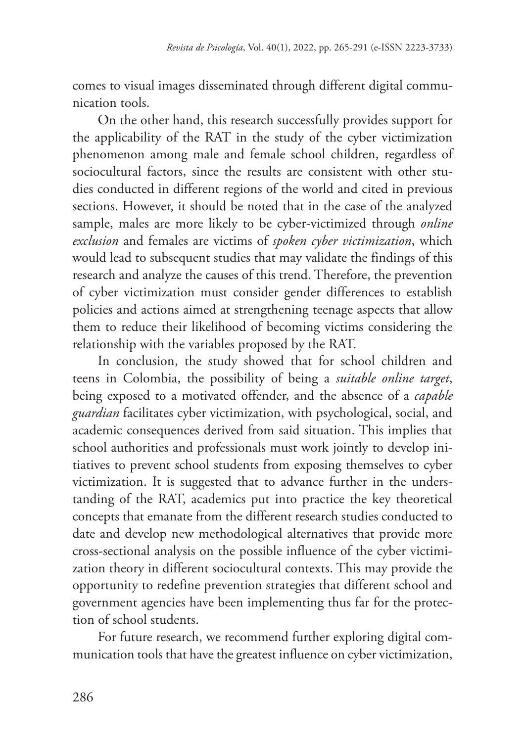comes to visual images disseminated through different digital communication tools.

On the other hand, this research successfully provides support for the applicability of the RAT in the study of the cyber victimization phenomenon among male and female school children, regardless of sociocultural factors, since the results are consistent with other studies conducted in different regions of the world and cited in previous sections. However, it should be noted that in the case of the analyzed sample, males are more likely to be cyber-victimized through *online exclusion* and females are victims of *spoken cyber victimization*, which would lead to subsequent studies that may validate the findings of this research and analyze the causes of this trend. Therefore, the prevention of cyber victimization must consider gender differences to establish policies and actions aimed at strengthening teenage aspects that allow them to reduce their likelihood of becoming victims considering the relationship with the variables proposed by the RAT.

In conclusion, the study showed that for school children and teens in Colombia, the possibility of being a *suitable online target*, being exposed to a motivated offender, and the absence of a *capable guardian* facilitates cyber victimization, with psychological, social, and academic consequences derived from said situation. This implies that school authorities and professionals must work jointly to develop initiatives to prevent school students from exposing themselves to cyber victimization. It is suggested that to advance further in the understanding of the RAT, academics put into practice the key theoretical concepts that emanate from the different research studies conducted to date and develop new methodological alternatives that provide more cross-sectional analysis on the possible influence of the cyber victimization theory in different sociocultural contexts. This may provide the opportunity to redefine prevention strategies that different school and government agencies have been implementing thus far for the protection of school students.

For future research, we recommend further exploring digital communication tools that have the greatest influence on cyber victimization,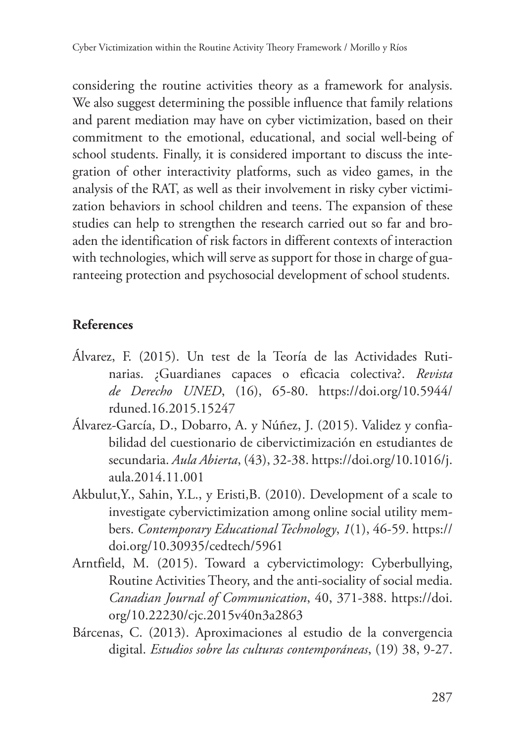considering the routine activities theory as a framework for analysis. We also suggest determining the possible influence that family relations and parent mediation may have on cyber victimization, based on their commitment to the emotional, educational, and social well-being of school students. Finally, it is considered important to discuss the integration of other interactivity platforms, such as video games, in the analysis of the RAT, as well as their involvement in risky cyber victimization behaviors in school children and teens. The expansion of these studies can help to strengthen the research carried out so far and broaden the identification of risk factors in different contexts of interaction with technologies, which will serve as support for those in charge of guaranteeing protection and psychosocial development of school students.

### **References**

- Álvarez, F. (2015). Un test de la Teoría de las Actividades Rutinarias. ¿Guardianes capaces o eficacia colectiva?. *Revista de Derecho UNED*, (16), 65-80. https://doi.org/10.5944/ rduned.16.2015.15247
- Álvarez-García, D., Dobarro, A. y Núñez, J. (2015). Validez y confiabilidad del cuestionario de cibervictimización en estudiantes de secundaria. *Aula Abierta*, (43), 32-38. https://doi.org/10.1016/j. aula.2014.11.001
- Akbulut,Y., Sahin, Y.L., y Eristi,B. (2010). Development of a scale to investigate cybervictimization among online social utility members. *Contemporary Educational Technology*, *1*(1), 46-59. https:// doi.org/10.30935/cedtech/5961
- Arntfield, M. (2015). Toward a cybervictimology: Cyberbullying, Routine Activities Theory, and the anti-sociality of social media. *Canadian Journal of Communication*, 40, 371-388. https://doi. org/10.22230/cjc.2015v40n3a2863
- Bárcenas, C. (2013). Aproximaciones al estudio de la convergencia digital. *Estudios sobre las culturas contemporáneas*, (19) 38, 9-27.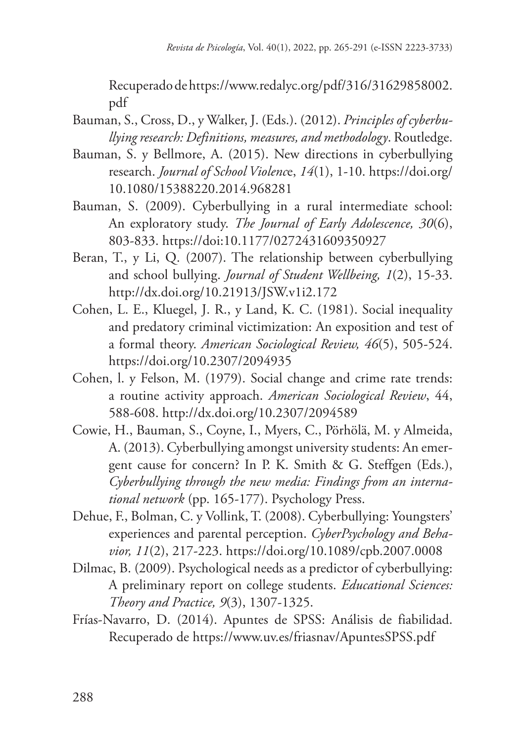Recuperado de https://www.redalyc.org/pdf/316/31629858002. pdf

- Bauman, S., Cross, D., y Walker, J. (Eds.). (2012). *Principles of cyberbullying research: Definitions, measures, and methodology*. Routledge.
- Bauman, S. y Bellmore, A. (2015). New directions in cyberbullying research. *Journal of School Violenc*e, *14*(1), 1-10. https://doi.org/ 10.1080/15388220.2014.968281
- Bauman, S. (2009). Cyberbullying in a rural intermediate school: An exploratory study. *The Journal of Early Adolescence, 30*(6), 803-833. https://doi:10.1177/0272431609350927
- Beran, T., y Li, Q. (2007). The relationship between cyberbullying and school bullying. *Journal of Student Wellbeing, 1*(2), 15-33. http://dx.doi.org/10.21913/JSW.v1i2.172
- Cohen, L. E., Kluegel, J. R., y Land, K. C. (1981). Social inequality and predatory criminal victimization: An exposition and test of a formal theory. *American Sociological Review, 46*(5), 505-524. https://doi.org/10.2307/2094935
- Cohen, l. y Felson, M. (1979). Social change and crime rate trends: a routine activity approach. *American Sociological Review*, 44, 588-608. http://dx.doi.org/10.2307/2094589
- Cowie, H., Bauman, S., Coyne, I., Myers, C., Pörhölä, M. y Almeida, A. (2013). Cyberbullying amongst university students: An emergent cause for concern? In P. K. Smith & G. Steffgen (Eds.), *Cyberbullying through the new media: Findings from an international network* (pp. 165-177). Psychology Press.
- Dehue, F., Bolman, C. y Vollink, T. (2008). Cyberbullying: Youngsters' experiences and parental perception. *CyberPsychology and Behavior, 11*(2), 217-223. https://doi.org/10.1089/cpb.2007.0008
- Dilmac, B. (2009). Psychological needs as a predictor of cyberbullying: A preliminary report on college students. *Educational Sciences: Theory and Practice, 9*(3), 1307-1325.
- Frías-Navarro, D. (2014). Apuntes de SPSS: Análisis de fiabilidad. Recuperado de https://www.uv.es/friasnav/ApuntesSPSS.pdf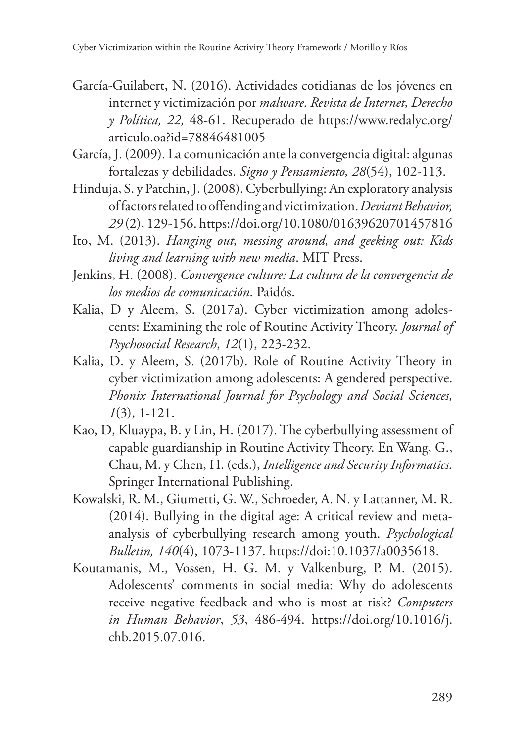- García-Guilabert, N. (2016). Actividades cotidianas de los jóvenes en internet y victimización por *malware. Revista de Internet, Derecho y Política, 22,* 48-61. Recuperado de https://www.redalyc.org/ articulo.oa?id=78846481005
- García, J. (2009). La comunicación ante la convergencia digital: algunas fortalezas y debilidades. *Signo y Pensamiento, 28*(54), 102-113.
- Hinduja, S. y Patchin, J. (2008). Cyberbullying: An exploratory analysis of factors related to offending and victimization. *Deviant Behavior, 29* (2), 129-156. https://doi.org/10.1080/01639620701457816
- Ito, M. (2013). *Hanging out, messing around, and geeking out: Kids living and learning with new media*. MIT Press.
- Jenkins, H. (2008). *Convergence culture: La cultura de la convergencia de los medios de comunicación*. Paidós.
- Kalia, D y Aleem, S. (2017a). Cyber victimization among adolescents: Examining the role of Routine Activity Theory. *Journal of Psychosocial Research*, *12*(1), 223-232.
- Kalia, D. y Aleem, S. (2017b). Role of Routine Activity Theory in cyber victimization among adolescents: A gendered perspective. *Phonix International Journal for Psychology and Social Sciences, 1*(3), 1-121.
- Kao, D, Kluaypa, B. y Lin, H. (2017). The cyberbullying assessment of capable guardianship in Routine Activity Theory. En Wang, G., Chau, M. y Chen, H. (eds.), *Intelligence and Security Informatics.* Springer International Publishing.
- Kowalski, R. M., Giumetti, G. W., Schroeder, A. N. y Lattanner, M. R. (2014). Bullying in the digital age: A critical review and metaanalysis of cyberbullying research among youth. *Psychological Bulletin, 140*(4), 1073-1137. https://doi:10.1037/a0035618.
- Koutamanis, M., Vossen, H. G. M. y Valkenburg, P. M. (2015). Adolescents' comments in social media: Why do adolescents receive negative feedback and who is most at risk? *Computers in Human Behavior*, *53*, 486-494. https://doi.org/10.1016/j. chb.2015.07.016.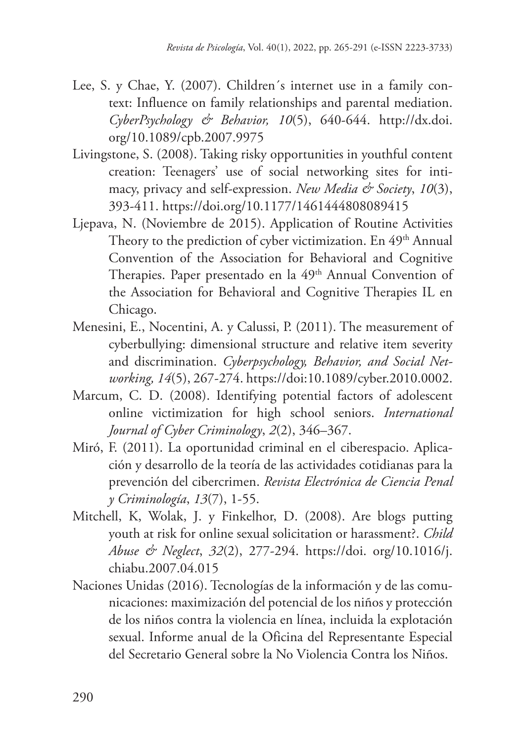- Lee, S. y Chae, Y. (2007). Children´s internet use in a family context: Influence on family relationships and parental mediation. *CyberPsychology & Behavior, 10*(5), 640-644. http://dx.doi. org/10.1089/cpb.2007.9975
- Livingstone, S. (2008). Taking risky opportunities in youthful content creation: Teenagers' use of social networking sites for intimacy, privacy and self-expression. *New Media & Society*, *10*(3), 393-411. https://doi.org/10.1177/1461444808089415
- Ljepava, N. (Noviembre de 2015). Application of Routine Activities Theory to the prediction of cyber victimization. En 49<sup>th</sup> Annual Convention of the Association for Behavioral and Cognitive Therapies. Paper presentado en la 49<sup>th</sup> Annual Convention of the Association for Behavioral and Cognitive Therapies IL en Chicago.
- Menesini, E., Nocentini, A. y Calussi, P. (2011). The measurement of cyberbullying: dimensional structure and relative item severity and discrimination. *Cyberpsychology, Behavior, and Social Networking, 14*(5), 267-274. https://doi:10.1089/cyber.2010.0002.
- Marcum, C. D. (2008). Identifying potential factors of adolescent online victimization for high school seniors. *International Journal of Cyber Criminology*, *2*(2), 346–367.
- Miró, F. (2011). La oportunidad criminal en el ciberespacio. Aplicación y desarrollo de la teoría de las actividades cotidianas para la prevención del cibercrimen. *Revista Electrónica de Ciencia Penal y Criminología*, *13*(7), 1-55.
- Mitchell, K, Wolak, J. y Finkelhor, D. (2008). Are blogs putting youth at risk for online sexual solicitation or harassment?. *Child Abuse & Neglect*, *32*(2), 277-294. https://doi. org/10.1016/j. chiabu.2007.04.015
- Naciones Unidas (2016). Tecnologías de la información y de las comunicaciones: maximización del potencial de los niños y protección de los niños contra la violencia en línea, incluida la explotación sexual. Informe anual de la Oficina del Representante Especial del Secretario General sobre la No Violencia Contra los Niños.